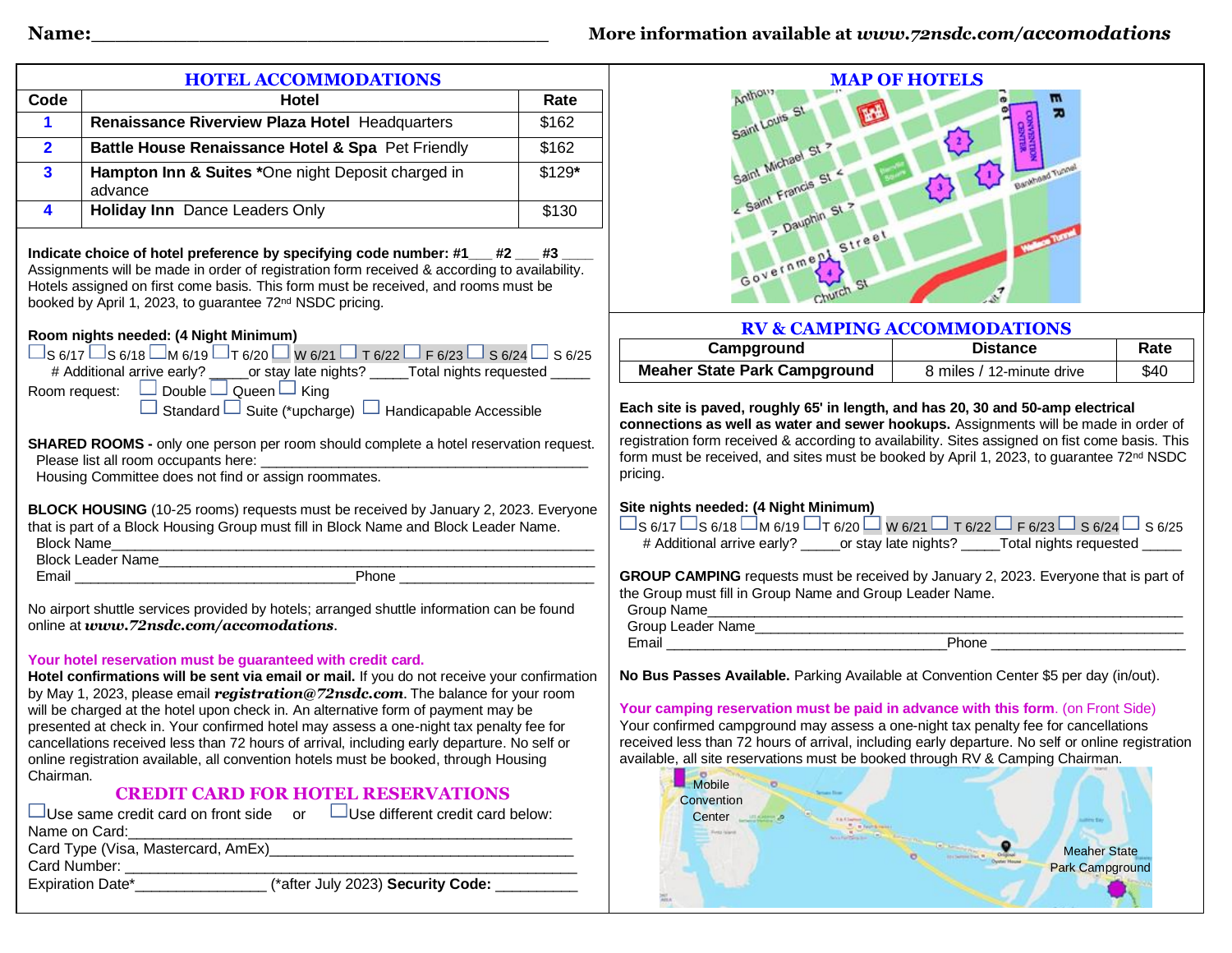| <b>HOTEL ACCOMMODATIONS</b>                                                                                                                                                                                                                                                  |                                                                                                                                                                                                                                                                                                                                              |                     | <b>MAP OF HOTELS</b>                                                                                                                                                                                                                                                                                                                                          |                                               |      |
|------------------------------------------------------------------------------------------------------------------------------------------------------------------------------------------------------------------------------------------------------------------------------|----------------------------------------------------------------------------------------------------------------------------------------------------------------------------------------------------------------------------------------------------------------------------------------------------------------------------------------------|---------------------|---------------------------------------------------------------------------------------------------------------------------------------------------------------------------------------------------------------------------------------------------------------------------------------------------------------------------------------------------------------|-----------------------------------------------|------|
| Code                                                                                                                                                                                                                                                                         | <b>Hotel</b>                                                                                                                                                                                                                                                                                                                                 | Rate                | Anthony                                                                                                                                                                                                                                                                                                                                                       |                                               |      |
| $\mathbf{1}$                                                                                                                                                                                                                                                                 | Renaissance Riverview Plaza Hotel Headquarters                                                                                                                                                                                                                                                                                               | \$162               | Saint Louis                                                                                                                                                                                                                                                                                                                                                   |                                               |      |
| $\overline{2}$                                                                                                                                                                                                                                                               | Battle House Renaissance Hotel & Spa Pet Friendly                                                                                                                                                                                                                                                                                            | \$162               |                                                                                                                                                                                                                                                                                                                                                               | ₩                                             |      |
| 3                                                                                                                                                                                                                                                                            | Hampton Inn & Suites *One night Deposit charged in<br>advance                                                                                                                                                                                                                                                                                | $$129*$             |                                                                                                                                                                                                                                                                                                                                                               |                                               |      |
| 4                                                                                                                                                                                                                                                                            | Holiday Inn Dance Leaders Only                                                                                                                                                                                                                                                                                                               | \$130               | > Dauphin                                                                                                                                                                                                                                                                                                                                                     |                                               |      |
|                                                                                                                                                                                                                                                                              | Indicate choice of hotel preference by specifying code number: #1___ #2 ___ #3<br>Assignments will be made in order of registration form received & according to availability.<br>Hotels assigned on first come basis. This form must be received, and rooms must be<br>booked by April 1, 2023, to guarantee 72 <sup>nd</sup> NSDC pricing. | Street<br>Governmen |                                                                                                                                                                                                                                                                                                                                                               |                                               |      |
| Room nights needed: (4 Night Minimum)                                                                                                                                                                                                                                        |                                                                                                                                                                                                                                                                                                                                              |                     | <b>RV &amp; CAMPING ACCOMMODATIONS</b>                                                                                                                                                                                                                                                                                                                        |                                               |      |
| $\Box$ S 6/17 $\Box$ S 6/18 $\Box$ M 6/19 $\Box$ T 6/20 $\Box$ W 6/21 $\Box$ T 6/22 $\Box$ F 6/23 $\Box$ S 6/24 $\Box$ S 6/25                                                                                                                                                |                                                                                                                                                                                                                                                                                                                                              | Campground          | <b>Distance</b>                                                                                                                                                                                                                                                                                                                                               | Rate                                          |      |
|                                                                                                                                                                                                                                                                              | # Additional arrive early? _____or stay late nights? _____Total nights requested _____<br>Room request: $\Box$ Double $\Box$ Queen $\Box$ King                                                                                                                                                                                               |                     | <b>Meaher State Park Campground</b>                                                                                                                                                                                                                                                                                                                           | 8 miles / 12-minute drive                     | \$40 |
| Housing Committee does not find or assign roommates.<br>BLOCK HOUSING (10-25 rooms) requests must be received by January 2, 2023. Everyone<br>that is part of a Block Housing Group must fill in Block Name and Block Leader Name.<br><b>Block Name</b><br>Block Leader Name |                                                                                                                                                                                                                                                                                                                                              |                     | pricing.<br>Site nights needed: (4 Night Minimum)<br>$\Box$ S 6/17 $\Box$ S 6/18 $\Box$ M 6/19 $\Box$ T 6/20 $\Box$ W 6/21 $\Box$ T 6/22 $\Box$ F 6/23 $\Box$ S 6/24 $\Box$ S 6/25<br># Additional arrive early? ______ or stay late nights? _____Total nights requested _____                                                                                |                                               |      |
|                                                                                                                                                                                                                                                                              | Phone                                                                                                                                                                                                                                                                                                                                        |                     | GROUP CAMPING requests must be received by January 2, 2023. Everyone that is part of                                                                                                                                                                                                                                                                          |                                               |      |
|                                                                                                                                                                                                                                                                              |                                                                                                                                                                                                                                                                                                                                              |                     | the Group must fill in Group Name and Group Leader Name.                                                                                                                                                                                                                                                                                                      |                                               |      |
| No airport shuttle services provided by hotels; arranged shuttle information can be found<br>online at www.72nsdc.com/accomodations.                                                                                                                                         |                                                                                                                                                                                                                                                                                                                                              |                     | Group Name<br><u> 2000 - Jan James James Jan James James James James James James James James James James James James James Jam</u>                                                                                                                                                                                                                            |                                               |      |
|                                                                                                                                                                                                                                                                              |                                                                                                                                                                                                                                                                                                                                              |                     | Group Leader Name<br>Email Phone Phone                                                                                                                                                                                                                                                                                                                        |                                               |      |
| Your hotel reservation must be guaranteed with credit card.<br>Hotel confirmations will be sent via email or mail. If you do not receive your confirmation<br>by May 1, 2023, please email registration@72nsdc.com. The balance for your room                                |                                                                                                                                                                                                                                                                                                                                              |                     | No Bus Passes Available. Parking Available at Convention Center \$5 per day (in/out).                                                                                                                                                                                                                                                                         |                                               |      |
| will be charged at the hotel upon check in. An alternative form of payment may be<br>presented at check in. Your confirmed hotel may assess a one-night tax penalty fee for<br>cancellations received less than 72 hours of arrival, including early departure. No self or   |                                                                                                                                                                                                                                                                                                                                              |                     | Your camping reservation must be paid in advance with this form. (on Front Side)<br>Your confirmed campground may assess a one-night tax penalty fee for cancellations<br>received less than 72 hours of arrival, including early departure. No self or online registration<br>available, all site reservations must be booked through RV & Camping Chairman. |                                               |      |
| online registration available, all convention hotels must be booked, through Housing<br>Chairman.<br><b>CREDIT CARD FOR HOTEL RESERVATIONS</b>                                                                                                                               |                                                                                                                                                                                                                                                                                                                                              |                     | Mobile<br>Convention                                                                                                                                                                                                                                                                                                                                          |                                               |      |
| $\Box$ Use different credit card below:<br>$\Box$ Use same credit card on front side or<br>Name on Card:                                                                                                                                                                     |                                                                                                                                                                                                                                                                                                                                              |                     | Center<br>Forest raises                                                                                                                                                                                                                                                                                                                                       |                                               |      |
| Card Type (Visa, Mastercard, AmEx)<br>Card Number:                                                                                                                                                                                                                           |                                                                                                                                                                                                                                                                                                                                              |                     |                                                                                                                                                                                                                                                                                                                                                               | <b>Meaher State</b><br><b>Park Campground</b> |      |
| (*after July 2023) Security Code:                                                                                                                                                                                                                                            |                                                                                                                                                                                                                                                                                                                                              |                     |                                                                                                                                                                                                                                                                                                                                                               |                                               |      |